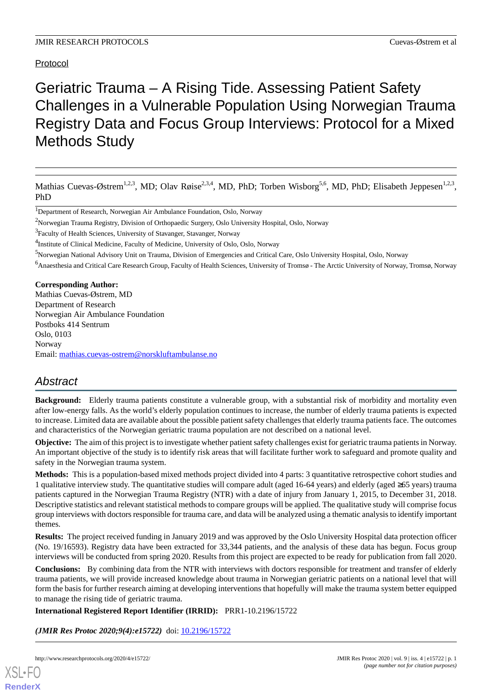# Protocol

# Geriatric Trauma – A Rising Tide. Assessing Patient Safety Challenges in a Vulnerable Population Using Norwegian Trauma Registry Data and Focus Group Interviews: Protocol for a Mixed Methods Study

Mathias Cuevas-Østrem<sup>1,2,3</sup>, MD; Olav Røise<sup>2,3,4</sup>, MD, PhD; Torben Wisborg<sup>5,6</sup>, MD, PhD; Elisabeth Jeppesen<sup>1,2,3</sup>, PhD

<sup>6</sup>Anaesthesia and Critical Care Research Group, Faculty of Health Sciences, University of Tromsø - The Arctic University of Norway, Tromsø, Norway

**Corresponding Author:** Mathias Cuevas-Østrem, MD Department of Research Norwegian Air Ambulance Foundation Postboks 414 Sentrum Oslo, 0103 Norway Email: [mathias.cuevas-ostrem@norskluftambulanse.no](mailto:mathias.cuevas-ostrem@norskluftambulanse.no)

# *Abstract*

**Background:** Elderly trauma patients constitute a vulnerable group, with a substantial risk of morbidity and mortality even after low-energy falls. As the world's elderly population continues to increase, the number of elderly trauma patients is expected to increase. Limited data are available about the possible patient safety challenges that elderly trauma patients face. The outcomes and characteristics of the Norwegian geriatric trauma population are not described on a national level.

**Objective:** The aim of this project is to investigate whether patient safety challenges exist for geriatric trauma patients in Norway. An important objective of the study is to identify risk areas that will facilitate further work to safeguard and promote quality and safety in the Norwegian trauma system.

**Methods:** This is a population-based mixed methods project divided into 4 parts: 3 quantitative retrospective cohort studies and 1 qualitative interview study. The quantitative studies will compare adult (aged 16-64 years) and elderly (aged ≥65 years) trauma patients captured in the Norwegian Trauma Registry (NTR) with a date of injury from January 1, 2015, to December 31, 2018. Descriptive statistics and relevant statistical methods to compare groups will be applied. The qualitative study will comprise focus group interviews with doctors responsible for trauma care, and data will be analyzed using a thematic analysis to identify important themes.

**Results:** The project received funding in January 2019 and was approved by the Oslo University Hospital data protection officer (No. 19/16593). Registry data have been extracted for 33,344 patients, and the analysis of these data has begun. Focus group interviews will be conducted from spring 2020. Results from this project are expected to be ready for publication from fall 2020.

**Conclusions:** By combining data from the NTR with interviews with doctors responsible for treatment and transfer of elderly trauma patients, we will provide increased knowledge about trauma in Norwegian geriatric patients on a national level that will form the basis for further research aiming at developing interventions that hopefully will make the trauma system better equipped to manage the rising tide of geriatric trauma.

# **International Registered Report Identifier (IRRID):** PRR1-10.2196/15722

*(JMIR Res Protoc 2020;9(4):e15722)* doi: [10.2196/15722](http://dx.doi.org/10.2196/15722)

<sup>&</sup>lt;sup>1</sup>Department of Research, Norwegian Air Ambulance Foundation, Oslo, Norway

<sup>2</sup>Norwegian Trauma Registry, Division of Orthopaedic Surgery, Oslo University Hospital, Oslo, Norway

<sup>&</sup>lt;sup>3</sup>Faculty of Health Sciences, University of Stavanger, Stavanger, Norway

<sup>&</sup>lt;sup>4</sup>Institute of Clinical Medicine, Faculty of Medicine, University of Oslo, Oslo, Norway

<sup>5</sup>Norwegian National Advisory Unit on Trauma, Division of Emergencies and Critical Care, Oslo University Hospital, Oslo, Norway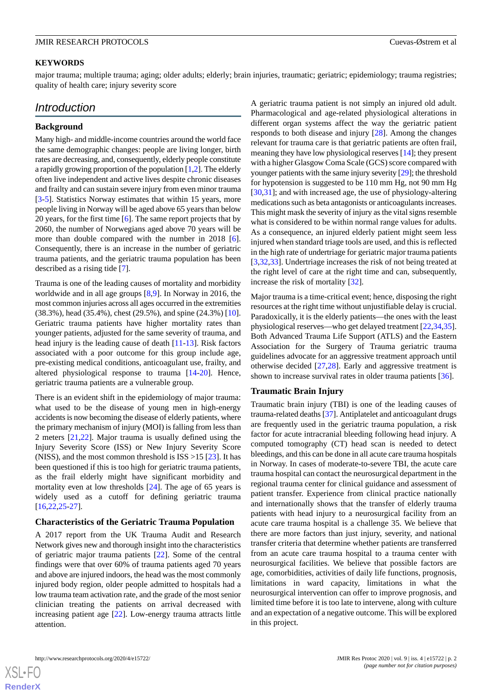#### **KEYWORDS**

major trauma; multiple trauma; aging; older adults; elderly; brain injuries, traumatic; geriatric; epidemiology; trauma registries; quality of health care; injury severity score

# *Introduction*

#### **Background**

Many high- and middle-income countries around the world face the same demographic changes: people are living longer, birth rates are decreasing, and, consequently, elderly people constitute a rapidly growing proportion of the population [\[1](#page-6-0),[2\]](#page-6-1). The elderly often live independent and active lives despite chronic diseases and frailty and can sustain severe injury from even minor trauma [[3](#page-6-2)[-5](#page-6-3)]. Statistics Norway estimates that within 15 years, more people living in Norway will be aged above 65 years than below 20 years, for the first time [[6\]](#page-6-4). The same report projects that by 2060, the number of Norwegians aged above 70 years will be more than double compared with the number in 2018 [[6\]](#page-6-4). Consequently, there is an increase in the number of geriatric trauma patients, and the geriatric trauma population has been described as a rising tide [\[7](#page-7-0)].

Trauma is one of the leading causes of mortality and morbidity worldwide and in all age groups [\[8](#page-7-1),[9\]](#page-7-2). In Norway in 2016, the most common injuries across all ages occurred in the extremities (38.3%), head (35.4%), chest (29.5%), and spine (24.3%) [[10\]](#page-7-3). Geriatric trauma patients have higher mortality rates than younger patients, adjusted for the same severity of trauma, and head injury is the leading cause of death [\[11](#page-7-4)-[13\]](#page-7-5). Risk factors associated with a poor outcome for this group include age, pre-existing medical conditions, anticoagulant use, frailty, and altered physiological response to trauma [\[14](#page-7-6)-[20\]](#page-7-7). Hence, geriatric trauma patients are a vulnerable group.

There is an evident shift in the epidemiology of major trauma: what used to be the disease of young men in high-energy accidents is now becoming the disease of elderly patients, where the primary mechanism of injury (MOI) is falling from less than 2 meters [\[21](#page-7-8),[22\]](#page-7-9). Major trauma is usually defined using the Injury Severity Score (ISS) or New Injury Severity Score (NISS), and the most common threshold is  $ISS > 15$  [[23\]](#page-7-10). It has been questioned if this is too high for geriatric trauma patients, as the frail elderly might have significant morbidity and mortality even at low thresholds [\[24](#page-7-11)]. The age of 65 years is widely used as a cutoff for defining geriatric trauma [[16](#page-7-12)[,22](#page-7-9),[25](#page-7-13)[-27](#page-7-14)].

#### **Characteristics of the Geriatric Trauma Population**

A 2017 report from the UK Trauma Audit and Research Network gives new and thorough insight into the characteristics of geriatric major trauma patients [[22\]](#page-7-9). Some of the central findings were that over 60% of trauma patients aged 70 years and above are injured indoors, the head was the most commonly injured body region, older people admitted to hospitals had a low trauma team activation rate, and the grade of the most senior clinician treating the patients on arrival decreased with increasing patient age [\[22](#page-7-9)]. Low-energy trauma attracts little attention.

A geriatric trauma patient is not simply an injured old adult. Pharmacological and age-related physiological alterations in different organ systems affect the way the geriatric patient responds to both disease and injury [\[28](#page-7-15)]. Among the changes relevant for trauma care is that geriatric patients are often frail, meaning they have low physiological reserves [[14\]](#page-7-6); they present with a higher Glasgow Coma Scale (GCS) score compared with younger patients with the same injury severity [\[29\]](#page-8-0); the threshold for hypotension is suggested to be 110 mm Hg, not 90 mm Hg [[30,](#page-8-1)[31\]](#page-8-2); and with increased age, the use of physiology-altering medications such as beta antagonists or anticoagulants increases. This might mask the severity of injury as the vital signs resemble what is considered to be within normal range values for adults. As a consequence, an injured elderly patient might seem less injured when standard triage tools are used, and this is reflected in the high rate of undertriage for geriatric major trauma patients [[3](#page-6-2)[,32](#page-8-3),[33\]](#page-8-4). Undertriage increases the risk of not being treated at the right level of care at the right time and can, subsequently, increase the risk of mortality [\[32](#page-8-3)].

Major trauma is a time-critical event; hence, disposing the right resources at the right time without unjustifiable delay is crucial. Paradoxically, it is the elderly patients—the ones with the least physiological reserves—who get delayed treatment [[22](#page-7-9)[,34](#page-8-5),[35\]](#page-8-6). Both Advanced Trauma Life Support (ATLS) and the Eastern Association for the Surgery of Trauma geriatric trauma guidelines advocate for an aggressive treatment approach until otherwise decided [\[27](#page-7-14),[28\]](#page-7-15). Early and aggressive treatment is shown to increase survival rates in older trauma patients [[36\]](#page-8-7).

#### **Traumatic Brain Injury**

Traumatic brain injury (TBI) is one of the leading causes of trauma-related deaths [[37](#page-8-8)]. Antiplatelet and anticoagulant drugs are frequently used in the geriatric trauma population, a risk factor for acute intracranial bleeding following head injury. A computed tomography (CT) head scan is needed to detect bleedings, and this can be done in all acute care trauma hospitals in Norway. In cases of moderate-to-severe TBI, the acute care trauma hospital can contact the neurosurgical department in the regional trauma center for clinical guidance and assessment of patient transfer. Experience from clinical practice nationally and internationally shows that the transfer of elderly trauma patients with head injury to a neurosurgical facility from an acute care trauma hospital is a challenge 35. We believe that there are more factors than just injury, severity, and national transfer criteria that determine whether patients are transferred from an acute care trauma hospital to a trauma center with neurosurgical facilities. We believe that possible factors are age, comorbidities, activities of daily life functions, prognosis, limitations in ward capacity, limitations in what the neurosurgical intervention can offer to improve prognosis, and limited time before it is too late to intervene, along with culture and an expectation of a negative outcome. This will be explored in this project.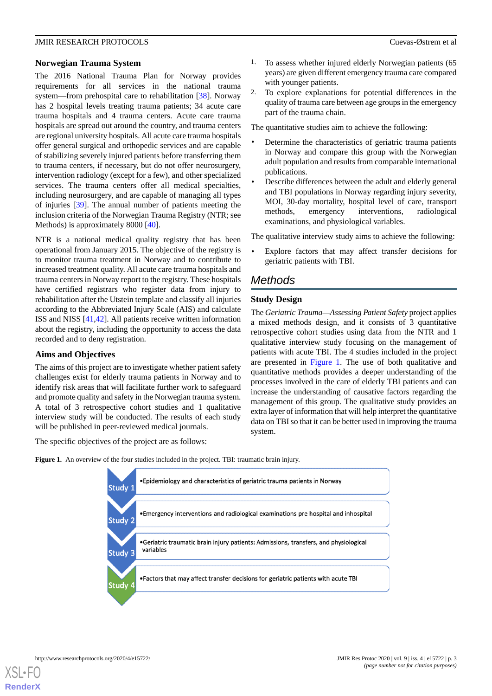#### **Norwegian Trauma System**

The 2016 National Trauma Plan for Norway provides requirements for all services in the national trauma system—from prehospital care to rehabilitation [[38\]](#page-8-9). Norway has 2 hospital levels treating trauma patients; 34 acute care trauma hospitals and 4 trauma centers. Acute care trauma hospitals are spread out around the country, and trauma centers are regional university hospitals. All acute care trauma hospitals offer general surgical and orthopedic services and are capable of stabilizing severely injured patients before transferring them to trauma centers, if necessary, but do not offer neurosurgery, intervention radiology (except for a few), and other specialized services. The trauma centers offer all medical specialties, including neurosurgery, and are capable of managing all types of injuries [[39\]](#page-8-10). The annual number of patients meeting the inclusion criteria of the Norwegian Trauma Registry (NTR; see Methods) is approximately 8000 [[40\]](#page-8-11).

NTR is a national medical quality registry that has been operational from January 2015. The objective of the registry is to monitor trauma treatment in Norway and to contribute to increased treatment quality. All acute care trauma hospitals and trauma centers in Norway report to the registry. These hospitals have certified registrars who register data from injury to rehabilitation after the Utstein template and classify all injuries according to the Abbreviated Injury Scale (AIS) and calculate ISS and NISS [[41,](#page-8-12)[42](#page-8-13)]. All patients receive written information about the registry, including the opportunity to access the data recorded and to deny registration.

# **Aims and Objectives**

The aims of this project are to investigate whether patient safety challenges exist for elderly trauma patients in Norway and to identify risk areas that will facilitate further work to safeguard and promote quality and safety in the Norwegian trauma system. A total of 3 retrospective cohort studies and 1 qualitative interview study will be conducted. The results of each study will be published in peer-reviewed medical journals.

<span id="page-2-0"></span>The specific objectives of the project are as follows:

- To assess whether injured elderly Norwegian patients (65 years) are given different emergency trauma care compared with younger patients.
- 2. To explore explanations for potential differences in the quality of trauma care between age groups in the emergency part of the trauma chain.

The quantitative studies aim to achieve the following:

- Determine the characteristics of geriatric trauma patients in Norway and compare this group with the Norwegian adult population and results from comparable international publications.
- Describe differences between the adult and elderly general and TBI populations in Norway regarding injury severity, MOI, 30-day mortality, hospital level of care, transport methods, emergency interventions, radiological examinations, and physiological variables.

The qualitative interview study aims to achieve the following:

Explore factors that may affect transfer decisions for geriatric patients with TBI.

# *Methods*

#### **Study Design**

The *Geriatric Trauma—Assessing Patient Safety* project applies a mixed methods design, and it consists of 3 quantitative retrospective cohort studies using data from the NTR and 1 qualitative interview study focusing on the management of patients with acute TBI. The 4 studies included in the project are presented in [Figure 1](#page-2-0). The use of both qualitative and quantitative methods provides a deeper understanding of the processes involved in the care of elderly TBI patients and can increase the understanding of causative factors regarding the management of this group. The qualitative study provides an extra layer of information that will help interpret the quantitative data on TBI so that it can be better used in improving the trauma system.

**Figure 1.** An overview of the four studies included in the project. TBI: traumatic brain injury.

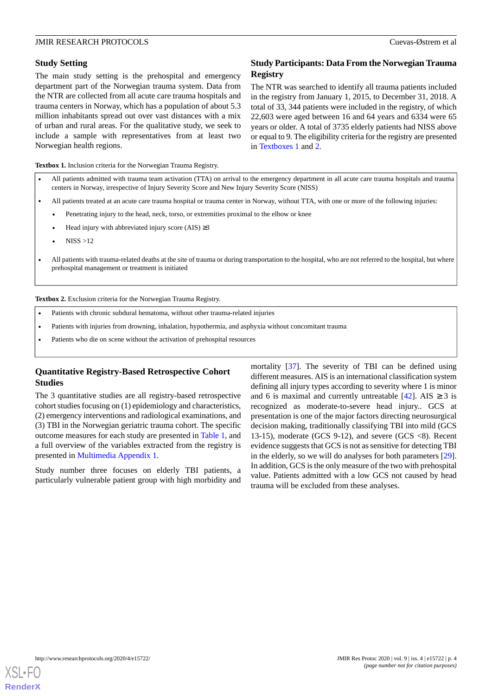### **Study Setting**

The main study setting is the prehospital and emergency department part of the Norwegian trauma system. Data from the NTR are collected from all acute care trauma hospitals and trauma centers in Norway, which has a population of about 5.3 million inhabitants spread out over vast distances with a mix of urban and rural areas. For the qualitative study, we seek to include a sample with representatives from at least two Norwegian health regions.

# **Study Participants: Data From the Norwegian Trauma Registry**

The NTR was searched to identify all trauma patients included in the registry from January 1, 2015, to December 31, 2018. A total of 33, 344 patients were included in the registry, of which 22,603 were aged between 16 and 64 years and 6334 were 65 years or older. A total of 3735 elderly patients had NISS above or equal to 9. The eligibility criteria for the registry are presented in [Textboxes 1](#page-3-0) and [2](#page-3-1).

<span id="page-3-0"></span>**Textbox 1.** Inclusion criteria for the Norwegian Trauma Registry.

- All patients admitted with trauma team activation (TTA) on arrival to the emergency department in all acute care trauma hospitals and trauma centers in Norway, irrespective of Injury Severity Score and New Injury Severity Score (NISS)
- All patients treated at an acute care trauma hospital or trauma center in Norway, without TTA, with one or more of the following injuries:
- Penetrating injury to the head, neck, torso, or extremities proximal to the elbow or knee
- Head injury with abbreviated injury score (AIS)  $\geq$ 3
- $NISS > 12$
- <span id="page-3-1"></span>• All patients with trauma-related deaths at the site of trauma or during transportation to the hospital, who are not referred to the hospital, but where prehospital management or treatment is initiated

**Textbox 2.** Exclusion criteria for the Norwegian Trauma Registry.

- Patients with chronic subdural hematoma, without other trauma-related injuries
- Patients with injuries from drowning, inhalation, hypothermia, and asphyxia without concomitant trauma
- Patients who die on scene without the activation of prehospital resources

# **Quantitative Registry-Based Retrospective Cohort Studies**

The 3 quantitative studies are all registry-based retrospective cohort studies focusing on (1) epidemiology and characteristics, (2) emergency interventions and radiological examinations, and (3) TBI in the Norwegian geriatric trauma cohort. The specific outcome measures for each study are presented in [Table 1](#page-4-0), and a full overview of the variables extracted from the registry is presented in [Multimedia Appendix 1.](#page-6-5)

Study number three focuses on elderly TBI patients, a particularly vulnerable patient group with high morbidity and mortality [[37\]](#page-8-8). The severity of TBI can be defined using different measures. AIS is an international classification system defining all injury types according to severity where 1 is minor and 6 is maximal and currently untreatable [[42\]](#page-8-13). AIS  $\geq$  3 is recognized as moderate-to-severe head injury.. GCS at presentation is one of the major factors directing neurosurgical decision making, traditionally classifying TBI into mild (GCS 13-15), moderate (GCS 9-12), and severe (GCS <8). Recent evidence suggests that GCS is not as sensitive for detecting TBI in the elderly, so we will do analyses for both parameters [[29\]](#page-8-0). In addition, GCS is the only measure of the two with prehospital value. Patients admitted with a low GCS not caused by head trauma will be excluded from these analyses.

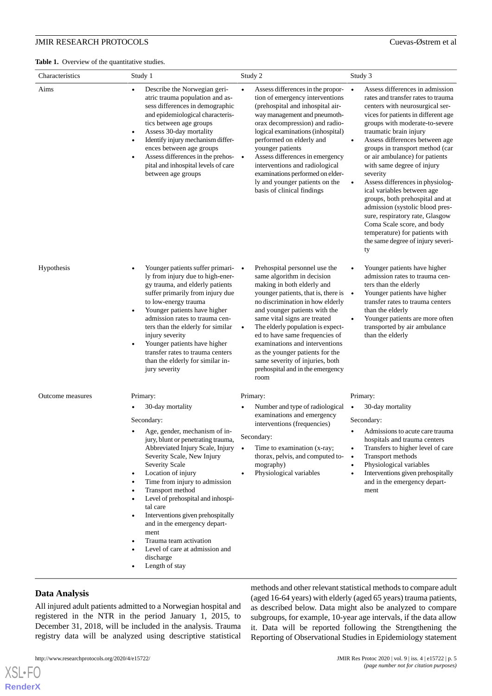<span id="page-4-0"></span>

| Characteristics  | Study 1                                                                                                                                                                                                                                                                                                                                                                                                                                                                                                                                                                                              | Study 2                                                                                                                                                                                                                                                                                                                                                                                                                                                                         | Study 3                                                                                                                                                                                                                                                                                                                                                                                                                                                                                                                                                                                                                                                                      |
|------------------|------------------------------------------------------------------------------------------------------------------------------------------------------------------------------------------------------------------------------------------------------------------------------------------------------------------------------------------------------------------------------------------------------------------------------------------------------------------------------------------------------------------------------------------------------------------------------------------------------|---------------------------------------------------------------------------------------------------------------------------------------------------------------------------------------------------------------------------------------------------------------------------------------------------------------------------------------------------------------------------------------------------------------------------------------------------------------------------------|------------------------------------------------------------------------------------------------------------------------------------------------------------------------------------------------------------------------------------------------------------------------------------------------------------------------------------------------------------------------------------------------------------------------------------------------------------------------------------------------------------------------------------------------------------------------------------------------------------------------------------------------------------------------------|
| Aims             | Describe the Norwegian geri-<br>$\bullet$<br>atric trauma population and as-<br>sess differences in demographic<br>and epidemiological characteris-<br>tics between age groups<br>Assess 30-day mortality<br>$\bullet$<br>Identify injury mechanism differ-<br>$\bullet$<br>ences between age groups<br>Assess differences in the prehos- •<br>$\bullet$<br>pital and inhospital levels of care<br>between age groups                                                                                                                                                                                | Assess differences in the propor-<br>$\bullet$<br>tion of emergency interventions<br>(prehospital and inhospital air-<br>way management and pneumoth-<br>orax decompression) and radio-<br>logical examinations (inhospital)<br>performed on elderly and<br>younger patients<br>Assess differences in emergency<br>interventions and radiological<br>examinations performed on elder-<br>ly and younger patients on the<br>basis of clinical findings                           | Assess differences in admission<br>$\bullet$<br>rates and transfer rates to trauma<br>centers with neurosurgical ser-<br>vices for patients in different age<br>groups with moderate-to-severe<br>traumatic brain injury<br>Assess differences between age<br>groups in transport method (car<br>or air ambulance) for patients<br>with same degree of injury<br>severity<br>Assess differences in physiolog-<br>$\bullet$<br>ical variables between age<br>groups, both prehospital and at<br>admission (systolic blood pres-<br>sure, respiratory rate, Glasgow<br>Coma Scale score, and body<br>temperature) for patients with<br>the same degree of injury severi-<br>ty |
| Hypothesis       | Younger patients suffer primari- •<br>ly from injury due to high-ener-<br>gy trauma, and elderly patients<br>suffer primarily from injury due<br>to low-energy trauma<br>Younger patients have higher<br>admission rates to trauma cen-<br>ters than the elderly for similar<br>injury severity<br>Younger patients have higher<br>transfer rates to trauma centers<br>than the elderly for similar in-<br>jury severity                                                                                                                                                                             | Prehospital personnel use the<br>same algorithm in decision<br>making in both elderly and<br>younger patients, that is, there is •<br>no discrimination in how elderly<br>and younger patients with the<br>same vital signs are treated<br>The elderly population is expect-<br>$\bullet$<br>ed to have same frequencies of<br>examinations and interventions<br>as the younger patients for the<br>same severity of injuries, both<br>prehospital and in the emergency<br>room | Younger patients have higher<br>admission rates to trauma cen-<br>ters than the elderly<br>Younger patients have higher<br>transfer rates to trauma centers<br>than the elderly<br>Younger patients are more often<br>$\bullet$<br>transported by air ambulance<br>than the elderly                                                                                                                                                                                                                                                                                                                                                                                          |
| Outcome measures | Primary:<br>30-day mortality<br>Secondary:<br>Age, gender, mechanism of in-<br>jury, blunt or penetrating trauma,<br>Abbreviated Injury Scale, Injury<br>Severity Scale, New Injury<br>Severity Scale<br>Location of injury<br>$\bullet$<br>Time from injury to admission<br>$\bullet$<br>Transport method<br>$\bullet$<br>Level of prehospital and inhospi-<br>$\bullet$<br>tal care<br>Interventions given prehospitally<br>$\bullet$<br>and in the emergency depart-<br>ment<br>Trauma team activation<br>$\bullet$<br>Level of care at admission and<br>$\bullet$<br>discharge<br>Length of stay | Primary:<br>Number and type of radiological<br>examinations and emergency<br>interventions (frequencies)<br>Secondary:<br>Time to examination (x-ray;<br>$\bullet$<br>thorax, pelvis, and computed to-<br>mography)<br>Physiological variables                                                                                                                                                                                                                                  | Primary:<br>30-day mortality<br>$\bullet$<br>Secondary:<br>Admissions to acute care trauma<br>hospitals and trauma centers<br>Transfers to higher level of care<br>Transport methods<br>$\bullet$<br>Physiological variables<br>Interventions given prehospitally<br>and in the emergency depart-<br>ment                                                                                                                                                                                                                                                                                                                                                                    |

# **Data Analysis**

[XSL](http://www.w3.org/Style/XSL)•FO **[RenderX](http://www.renderx.com/)**

All injured adult patients admitted to a Norwegian hospital and registered in the NTR in the period January 1, 2015, to December 31, 2018, will be included in the analysis. Trauma registry data will be analyzed using descriptive statistical

methods and other relevant statistical methods to compare adult (aged 16-64 years) with elderly (aged 65 years) trauma patients, as described below. Data might also be analyzed to compare subgroups, for example, 10-year age intervals, if the data allow it. Data will be reported following the Strengthening the Reporting of Observational Studies in Epidemiology statement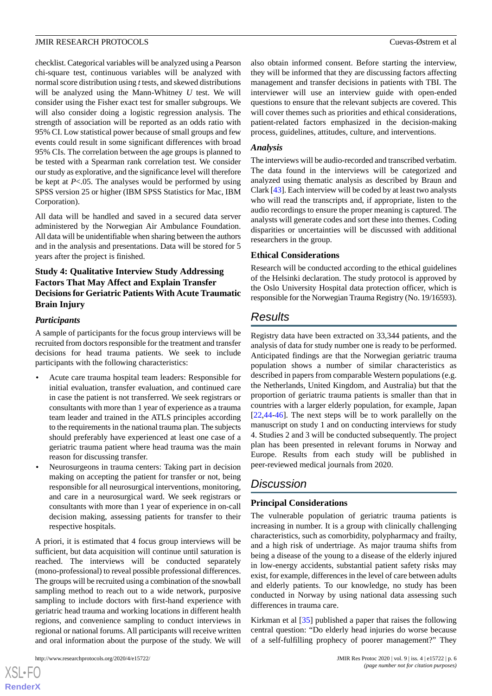checklist. Categorical variables will be analyzed using a Pearson chi-square test, continuous variables will be analyzed with normal score distribution using *t*tests, and skewed distributions will be analyzed using the Mann-Whitney *U* test. We will consider using the Fisher exact test for smaller subgroups. We will also consider doing a logistic regression analysis. The strength of association will be reported as an odds ratio with 95% CI. Low statistical power because of small groups and few events could result in some significant differences with broad 95% CIs. The correlation between the age groups is planned to be tested with a Spearman rank correlation test. We consider our study as explorative, and the significance level will therefore be kept at *P*<.05. The analyses would be performed by using SPSS version 25 or higher (IBM SPSS Statistics for Mac, IBM Corporation).

All data will be handled and saved in a secured data server administered by the Norwegian Air Ambulance Foundation. All data will be unidentifiable when sharing between the authors and in the analysis and presentations. Data will be stored for 5 years after the project is finished.

# **Study 4: Qualitative Interview Study Addressing Factors That May Affect and Explain Transfer Decisions for Geriatric Patients With Acute Traumatic Brain Injury**

# *Participants*

A sample of participants for the focus group interviews will be recruited from doctors responsible for the treatment and transfer decisions for head trauma patients. We seek to include participants with the following characteristics:

- Acute care trauma hospital team leaders: Responsible for initial evaluation, transfer evaluation, and continued care in case the patient is not transferred. We seek registrars or consultants with more than 1 year of experience as a trauma team leader and trained in the ATLS principles according to the requirements in the national trauma plan. The subjects should preferably have experienced at least one case of a geriatric trauma patient where head trauma was the main reason for discussing transfer.
- Neurosurgeons in trauma centers: Taking part in decision making on accepting the patient for transfer or not, being responsible for all neurosurgical interventions, monitoring, and care in a neurosurgical ward. We seek registrars or consultants with more than 1 year of experience in on-call decision making, assessing patients for transfer to their respective hospitals.

A priori, it is estimated that 4 focus group interviews will be sufficient, but data acquisition will continue until saturation is reached. The interviews will be conducted separately (mono-professional) to reveal possible professional differences. The groups will be recruited using a combination of the snowball sampling method to reach out to a wide network, purposive sampling to include doctors with first-hand experience with geriatric head trauma and working locations in different health regions, and convenience sampling to conduct interviews in regional or national forums. All participants will receive written and oral information about the purpose of the study. We will

 $XS$ -FO **[RenderX](http://www.renderx.com/)** also obtain informed consent. Before starting the interview, they will be informed that they are discussing factors affecting management and transfer decisions in patients with TBI. The interviewer will use an interview guide with open-ended questions to ensure that the relevant subjects are covered. This will cover themes such as priorities and ethical considerations, patient-related factors emphasized in the decision-making process, guidelines, attitudes, culture, and interventions.

#### *Analysis*

The interviews will be audio-recorded and transcribed verbatim. The data found in the interviews will be categorized and analyzed using thematic analysis as described by Braun and Clark [[43\]](#page-8-14). Each interview will be coded by at least two analysts who will read the transcripts and, if appropriate, listen to the audio recordings to ensure the proper meaning is captured. The analysts will generate codes and sort these into themes. Coding disparities or uncertainties will be discussed with additional researchers in the group.

#### **Ethical Considerations**

Research will be conducted according to the ethical guidelines of the Helsinki declaration. The study protocol is approved by the Oslo University Hospital data protection officer, which is responsible for the Norwegian Trauma Registry (No. 19/16593).

# *Results*

Registry data have been extracted on 33,344 patients, and the analysis of data for study number one is ready to be performed. Anticipated findings are that the Norwegian geriatric trauma population shows a number of similar characteristics as described in papers from comparable Western populations (e.g. the Netherlands, United Kingdom, and Australia) but that the proportion of geriatric trauma patients is smaller than that in countries with a larger elderly population, for example, Japan [[22,](#page-7-9)[44-](#page-8-15)[46\]](#page-8-16). The next steps will be to work parallelly on the manuscript on study 1 and on conducting interviews for study 4. Studies 2 and 3 will be conducted subsequently. The project plan has been presented in relevant forums in Norway and Europe. Results from each study will be published in peer-reviewed medical journals from 2020.

# *Discussion*

# **Principal Considerations**

The vulnerable population of geriatric trauma patients is increasing in number. It is a group with clinically challenging characteristics, such as comorbidity, polypharmacy and frailty, and a high risk of undertriage. As major trauma shifts from being a disease of the young to a disease of the elderly injured in low-energy accidents, substantial patient safety risks may exist, for example, differences in the level of care between adults and elderly patients. To our knowledge, no study has been conducted in Norway by using national data assessing such differences in trauma care.

Kirkman et al [\[35](#page-8-6)] published a paper that raises the following central question: "Do elderly head injuries do worse because of a self-fulfilling prophecy of poorer management?" They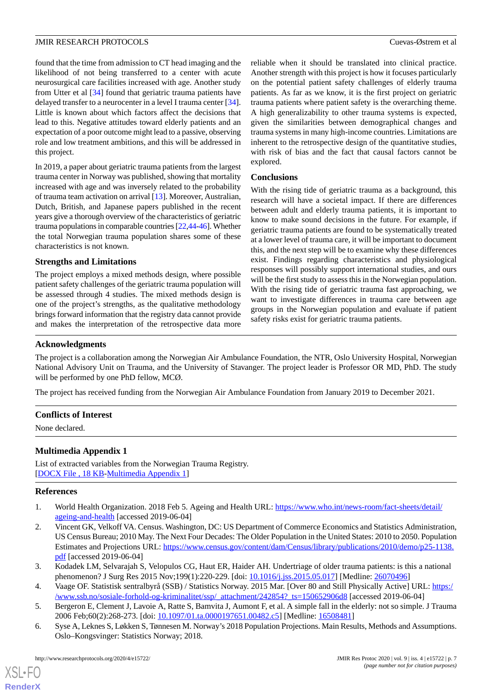found that the time from admission to CT head imaging and the likelihood of not being transferred to a center with acute neurosurgical care facilities increased with age. Another study from Utter et al [[34\]](#page-8-5) found that geriatric trauma patients have delayed transfer to a neurocenter in a level I trauma center [[34\]](#page-8-5). Little is known about which factors affect the decisions that lead to this. Negative attitudes toward elderly patients and an expectation of a poor outcome might lead to a passive, observing role and low treatment ambitions, and this will be addressed in this project.

In 2019, a paper about geriatric trauma patients from the largest trauma center in Norway was published, showing that mortality increased with age and was inversely related to the probability of trauma team activation on arrival [\[13](#page-7-5)]. Moreover, Australian, Dutch, British, and Japanese papers published in the recent years give a thorough overview of the characteristics of geriatric trauma populations in comparable countries [[22,](#page-7-9)[44-](#page-8-15)[46\]](#page-8-16). Whether the total Norwegian trauma population shares some of these characteristics is not known.

#### **Strengths and Limitations**

The project employs a mixed methods design, where possible patient safety challenges of the geriatric trauma population will be assessed through 4 studies. The mixed methods design is one of the project's strengths, as the qualitative methodology brings forward information that the registry data cannot provide and makes the interpretation of the retrospective data more reliable when it should be translated into clinical practice. Another strength with this project is how it focuses particularly on the potential patient safety challenges of elderly trauma patients. As far as we know, it is the first project on geriatric trauma patients where patient safety is the overarching theme. A high generalizability to other trauma systems is expected, given the similarities between demographical changes and trauma systems in many high-income countries. Limitations are inherent to the retrospective design of the quantitative studies, with risk of bias and the fact that causal factors cannot be explored.

#### **Conclusions**

With the rising tide of geriatric trauma as a background, this research will have a societal impact. If there are differences between adult and elderly trauma patients, it is important to know to make sound decisions in the future. For example, if geriatric trauma patients are found to be systematically treated at a lower level of trauma care, it will be important to document this, and the next step will be to examine why these differences exist. Findings regarding characteristics and physiological responses will possibly support international studies, and ours will be the first study to assess this in the Norwegian population. With the rising tide of geriatric trauma fast approaching, we want to investigate differences in trauma care between age groups in the Norwegian population and evaluate if patient safety risks exist for geriatric trauma patients.

# **Acknowledgments**

The project is a collaboration among the Norwegian Air Ambulance Foundation, the NTR, Oslo University Hospital, Norwegian National Advisory Unit on Trauma, and the University of Stavanger. The project leader is Professor OR MD, PhD. The study will be performed by one PhD fellow, MCØ.

The project has received funding from the Norwegian Air Ambulance Foundation from January 2019 to December 2021.

# <span id="page-6-5"></span>**Conflicts of Interest**

None declared.

# <span id="page-6-0"></span>**Multimedia Appendix 1**

<span id="page-6-1"></span>List of extracted variables from the Norwegian Trauma Registry. [[DOCX File , 18 KB](https://jmir.org/api/download?alt_name=resprot_v9i4e15722_app1.docx&filename=c090b3400dcaa504694d872624f28ccd.docx)-[Multimedia Appendix 1\]](https://jmir.org/api/download?alt_name=resprot_v9i4e15722_app1.docx&filename=c090b3400dcaa504694d872624f28ccd.docx)

#### **References**

- <span id="page-6-2"></span>1. World Health Organization. 2018 Feb 5. Ageing and Health URL: [https://www.who.int/news-room/fact-sheets/detail/](https://www.who.int/news-room/fact-sheets/detail/ageing-and-health) [ageing-and-health](https://www.who.int/news-room/fact-sheets/detail/ageing-and-health) [accessed 2019-06-04]
- <span id="page-6-3"></span>2. Vincent GK, Velkoff VA. Census. Washington, DC: US Department of Commerce Economics and Statistics Administration, US Census Bureau; 2010 May. The Next Four Decades: The Older Population in the United States: 2010 to 2050. Population Estimates and Projections URL: [https://www.census.gov/content/dam/Census/library/publications/2010/demo/p25-1138.](https://www.census.gov/content/dam/Census/library/publications/2010/demo/p25-1138.pdf) [pdf](https://www.census.gov/content/dam/Census/library/publications/2010/demo/p25-1138.pdf) [accessed 2019-06-04]
- <span id="page-6-4"></span>3. Kodadek LM, Selvarajah S, Velopulos CG, Haut ER, Haider AH. Undertriage of older trauma patients: is this a national phenomenon? J Surg Res 2015 Nov;199(1):220-229. [doi: [10.1016/j.jss.2015.05.017](http://dx.doi.org/10.1016/j.jss.2015.05.017)] [Medline: [26070496](http://www.ncbi.nlm.nih.gov/entrez/query.fcgi?cmd=Retrieve&db=PubMed&list_uids=26070496&dopt=Abstract)]
- 4. Vaage OF. Statistisk sentralbyrå (SSB) / Statistics Norway. 2015 Mar. [Over 80 and Still Physically Active] URL: [https:/](https://www.ssb.no/sosiale-forhold-og-kriminalitet/ssp/_attachment/242854?_ts=150652906d8) [/www.ssb.no/sosiale-forhold-og-kriminalitet/ssp/\\_attachment/242854?\\_ts=150652906d8](https://www.ssb.no/sosiale-forhold-og-kriminalitet/ssp/_attachment/242854?_ts=150652906d8) [accessed 2019-06-04]
- 5. Bergeron E, Clement J, Lavoie A, Ratte S, Bamvita J, Aumont F, et al. A simple fall in the elderly: not so simple. J Trauma 2006 Feb;60(2):268-273. [doi: [10.1097/01.ta.0000197651.00482.c5\]](http://dx.doi.org/10.1097/01.ta.0000197651.00482.c5) [Medline: [16508481\]](http://www.ncbi.nlm.nih.gov/entrez/query.fcgi?cmd=Retrieve&db=PubMed&list_uids=16508481&dopt=Abstract)
- 6. Syse A, Leknes S, Løkken S, Tønnesen M. Norway's 2018 Population Projections. Main Results, Methods and Assumptions. Oslo–Kongsvinger: Statistics Norway; 2018.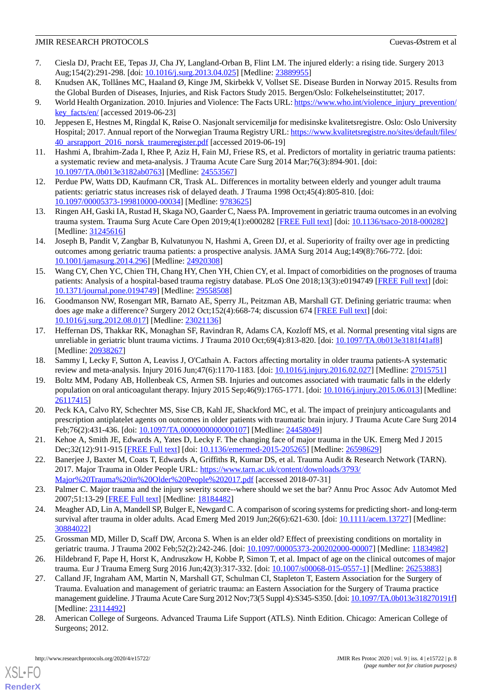- <span id="page-7-0"></span>7. Ciesla DJ, Pracht EE, Tepas JJ, Cha JY, Langland-Orban B, Flint LM. The injured elderly: a rising tide. Surgery 2013 Aug;154(2):291-298. [doi: [10.1016/j.surg.2013.04.025\]](http://dx.doi.org/10.1016/j.surg.2013.04.025) [Medline: [23889955\]](http://www.ncbi.nlm.nih.gov/entrez/query.fcgi?cmd=Retrieve&db=PubMed&list_uids=23889955&dopt=Abstract)
- <span id="page-7-2"></span><span id="page-7-1"></span>8. Knudsen AK, Tollånes MC, Haaland Ø, Kinge JM, Skirbekk V, Vollset SE. Disease Burden in Norway 2015. Results from the Global Burden of Diseases, Injuries, and Risk Factors Study 2015. Bergen/Oslo: Folkehelseinstituttet; 2017.
- <span id="page-7-3"></span>9. World Health Organization. 2010. Injuries and Violence: The Facts URL: [https://www.who.int/violence\\_injury\\_prevention/](https://www.who.int/violence_injury_prevention/key_facts/en/) [key\\_facts/en/](https://www.who.int/violence_injury_prevention/key_facts/en/) [accessed 2019-06-23]
- <span id="page-7-4"></span>10. Jeppesen E, Hestnes M, Ringdal K, Røise O. Nasjonalt servicemiljø for medisinske kvalitetsregistre. Oslo: Oslo University Hospital; 2017. Annual report of the Norwegian Trauma Registry URL: [https://www.kvalitetsregistre.no/sites/default/files/](https://www.kvalitetsregistre.no/sites/default/files/40_arsrapport_2016_norsk_traumeregister.pdf) [40\\_arsrapport\\_2016\\_norsk\\_traumeregister.pdf](https://www.kvalitetsregistre.no/sites/default/files/40_arsrapport_2016_norsk_traumeregister.pdf) [accessed 2019-06-19]
- 11. Hashmi A, Ibrahim-Zada I, Rhee P, Aziz H, Fain MJ, Friese RS, et al. Predictors of mortality in geriatric trauma patients: a systematic review and meta-analysis. J Trauma Acute Care Surg 2014 Mar;76(3):894-901. [doi: [10.1097/TA.0b013e3182ab0763\]](http://dx.doi.org/10.1097/TA.0b013e3182ab0763) [Medline: [24553567](http://www.ncbi.nlm.nih.gov/entrez/query.fcgi?cmd=Retrieve&db=PubMed&list_uids=24553567&dopt=Abstract)]
- <span id="page-7-5"></span>12. Perdue PW, Watts DD, Kaufmann CR, Trask AL. Differences in mortality between elderly and younger adult trauma patients: geriatric status increases risk of delayed death. J Trauma 1998 Oct;45(4):805-810. [doi: [10.1097/00005373-199810000-00034](http://dx.doi.org/10.1097/00005373-199810000-00034)] [Medline: [9783625](http://www.ncbi.nlm.nih.gov/entrez/query.fcgi?cmd=Retrieve&db=PubMed&list_uids=9783625&dopt=Abstract)]
- <span id="page-7-6"></span>13. Ringen AH, Gaski IA, Rustad H, Skaga NO, Gaarder C, Naess PA. Improvement in geriatric trauma outcomes in an evolving trauma system. Trauma Surg Acute Care Open 2019;4(1):e000282 [\[FREE Full text\]](http://europepmc.org/abstract/MED/31245616) [doi: [10.1136/tsaco-2018-000282\]](http://dx.doi.org/10.1136/tsaco-2018-000282) [Medline: [31245616](http://www.ncbi.nlm.nih.gov/entrez/query.fcgi?cmd=Retrieve&db=PubMed&list_uids=31245616&dopt=Abstract)]
- 14. Joseph B, Pandit V, Zangbar B, Kulvatunyou N, Hashmi A, Green DJ, et al. Superiority of frailty over age in predicting outcomes among geriatric trauma patients: a prospective analysis. JAMA Surg 2014 Aug;149(8):766-772. [doi: [10.1001/jamasurg.2014.296](http://dx.doi.org/10.1001/jamasurg.2014.296)] [Medline: [24920308](http://www.ncbi.nlm.nih.gov/entrez/query.fcgi?cmd=Retrieve&db=PubMed&list_uids=24920308&dopt=Abstract)]
- <span id="page-7-12"></span>15. Wang CY, Chen YC, Chien TH, Chang HY, Chen YH, Chien CY, et al. Impact of comorbidities on the prognoses of trauma patients: Analysis of a hospital-based trauma registry database. PLoS One 2018;13(3):e0194749 [\[FREE Full text\]](http://dx.plos.org/10.1371/journal.pone.0194749) [doi: [10.1371/journal.pone.0194749\]](http://dx.doi.org/10.1371/journal.pone.0194749) [Medline: [29558508](http://www.ncbi.nlm.nih.gov/entrez/query.fcgi?cmd=Retrieve&db=PubMed&list_uids=29558508&dopt=Abstract)]
- 16. Goodmanson NW, Rosengart MR, Barnato AE, Sperry JL, Peitzman AB, Marshall GT. Defining geriatric trauma: when does age make a difference? Surgery 2012 Oct;152(4):668-74; discussion 674 [[FREE Full text](http://europepmc.org/abstract/MED/23021136)] [doi: [10.1016/j.surg.2012.08.017\]](http://dx.doi.org/10.1016/j.surg.2012.08.017) [Medline: [23021136](http://www.ncbi.nlm.nih.gov/entrez/query.fcgi?cmd=Retrieve&db=PubMed&list_uids=23021136&dopt=Abstract)]
- 17. Heffernan DS, Thakkar RK, Monaghan SF, Ravindran R, Adams CA, Kozloff MS, et al. Normal presenting vital signs are unreliable in geriatric blunt trauma victims. J Trauma 2010 Oct;69(4):813-820. [doi: [10.1097/TA.0b013e3181f41af8](http://dx.doi.org/10.1097/TA.0b013e3181f41af8)] [Medline: [20938267](http://www.ncbi.nlm.nih.gov/entrez/query.fcgi?cmd=Retrieve&db=PubMed&list_uids=20938267&dopt=Abstract)]
- <span id="page-7-7"></span>18. Sammy I, Lecky F, Sutton A, Leaviss J, O'Cathain A. Factors affecting mortality in older trauma patients-A systematic review and meta-analysis. Injury 2016 Jun;47(6):1170-1183. [doi: [10.1016/j.injury.2016.02.027](http://dx.doi.org/10.1016/j.injury.2016.02.027)] [Medline: [27015751](http://www.ncbi.nlm.nih.gov/entrez/query.fcgi?cmd=Retrieve&db=PubMed&list_uids=27015751&dopt=Abstract)]
- 19. Boltz MM, Podany AB, Hollenbeak CS, Armen SB. Injuries and outcomes associated with traumatic falls in the elderly population on oral anticoagulant therapy. Injury 2015 Sep;46(9):1765-1771. [doi: [10.1016/j.injury.2015.06.013\]](http://dx.doi.org/10.1016/j.injury.2015.06.013) [Medline: [26117415](http://www.ncbi.nlm.nih.gov/entrez/query.fcgi?cmd=Retrieve&db=PubMed&list_uids=26117415&dopt=Abstract)]
- <span id="page-7-9"></span><span id="page-7-8"></span>20. Peck KA, Calvo RY, Schechter MS, Sise CB, Kahl JE, Shackford MC, et al. The impact of preinjury anticoagulants and prescription antiplatelet agents on outcomes in older patients with traumatic brain injury. J Trauma Acute Care Surg 2014 Feb;76(2):431-436. [doi: [10.1097/TA.0000000000000107\]](http://dx.doi.org/10.1097/TA.0000000000000107) [Medline: [24458049](http://www.ncbi.nlm.nih.gov/entrez/query.fcgi?cmd=Retrieve&db=PubMed&list_uids=24458049&dopt=Abstract)]
- <span id="page-7-10"></span>21. Kehoe A, Smith JE, Edwards A, Yates D, Lecky F. The changing face of major trauma in the UK. Emerg Med J 2015 Dec;32(12):911-915 [\[FREE Full text](http://emj.bmj.com/cgi/pmidlookup?view=long&pmid=26598629)] [doi: [10.1136/emermed-2015-205265\]](http://dx.doi.org/10.1136/emermed-2015-205265) [Medline: [26598629\]](http://www.ncbi.nlm.nih.gov/entrez/query.fcgi?cmd=Retrieve&db=PubMed&list_uids=26598629&dopt=Abstract)
- <span id="page-7-11"></span>22. Banerjee J, Baxter M, Coats T, Edwards A, Griffiths R, Kumar DS, et al. Trauma Audit & Research Network (TARN). 2017. Major Trauma in Older People URL: [https://www.tarn.ac.uk/content/downloads/3793/](https://www.tarn.ac.uk/content/downloads/3793/Major%20Trauma%20in%20Older%20People%202017.pdf) [Major%20Trauma%20in%20Older%20People%202017.pdf](https://www.tarn.ac.uk/content/downloads/3793/Major%20Trauma%20in%20Older%20People%202017.pdf) [accessed 2018-07-31]
- <span id="page-7-13"></span>23. Palmer C. Major trauma and the injury severity score--where should we set the bar? Annu Proc Assoc Adv Automot Med 2007;51:13-29 [\[FREE Full text\]](http://europepmc.org/abstract/MED/18184482) [Medline: [18184482](http://www.ncbi.nlm.nih.gov/entrez/query.fcgi?cmd=Retrieve&db=PubMed&list_uids=18184482&dopt=Abstract)]
- <span id="page-7-14"></span>24. Meagher AD, Lin A, Mandell SP, Bulger E, Newgard C. A comparison of scoring systems for predicting short- and long-term survival after trauma in older adults. Acad Emerg Med 2019 Jun;26(6):621-630. [doi: [10.1111/acem.13727\]](http://dx.doi.org/10.1111/acem.13727) [Medline: [30884022](http://www.ncbi.nlm.nih.gov/entrez/query.fcgi?cmd=Retrieve&db=PubMed&list_uids=30884022&dopt=Abstract)]
- 25. Grossman MD, Miller D, Scaff DW, Arcona S. When is an elder old? Effect of preexisting conditions on mortality in geriatric trauma. J Trauma 2002 Feb;52(2):242-246. [doi: [10.1097/00005373-200202000-00007](http://dx.doi.org/10.1097/00005373-200202000-00007)] [Medline: [11834982\]](http://www.ncbi.nlm.nih.gov/entrez/query.fcgi?cmd=Retrieve&db=PubMed&list_uids=11834982&dopt=Abstract)
- <span id="page-7-15"></span>26. Hildebrand F, Pape H, Horst K, Andruszkow H, Kobbe P, Simon T, et al. Impact of age on the clinical outcomes of major trauma. Eur J Trauma Emerg Surg 2016 Jun;42(3):317-332. [doi: [10.1007/s00068-015-0557-1\]](http://dx.doi.org/10.1007/s00068-015-0557-1) [Medline: [26253883](http://www.ncbi.nlm.nih.gov/entrez/query.fcgi?cmd=Retrieve&db=PubMed&list_uids=26253883&dopt=Abstract)]
- 27. Calland JF, Ingraham AM, Martin N, Marshall GT, Schulman CI, Stapleton T, Eastern Association for the Surgery of Trauma. Evaluation and management of geriatric trauma: an Eastern Association for the Surgery of Trauma practice management guideline. J Trauma Acute Care Surg 2012 Nov;73(5 Suppl 4):S345-S350. [doi: [10.1097/TA.0b013e318270191f\]](http://dx.doi.org/10.1097/TA.0b013e318270191f) [Medline: [23114492](http://www.ncbi.nlm.nih.gov/entrez/query.fcgi?cmd=Retrieve&db=PubMed&list_uids=23114492&dopt=Abstract)]
- 28. American College of Surgeons. Advanced Trauma Life Support (ATLS). Ninth Edition. Chicago: American College of Surgeons; 2012.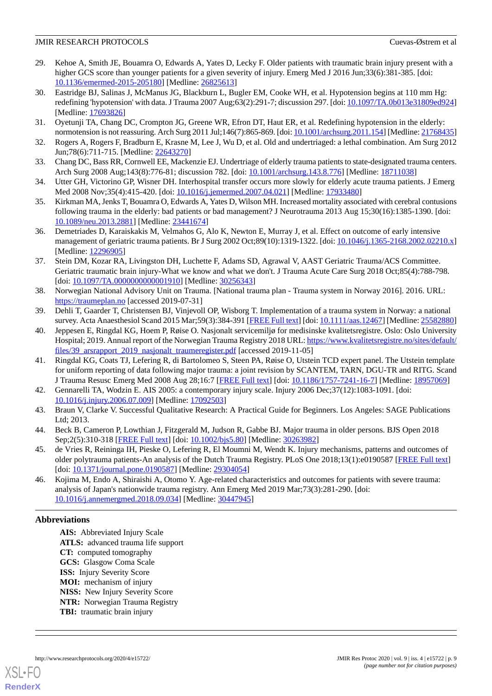- <span id="page-8-0"></span>29. Kehoe A, Smith JE, Bouamra O, Edwards A, Yates D, Lecky F. Older patients with traumatic brain injury present with a higher GCS score than younger patients for a given severity of injury. Emerg Med J 2016 Jun;33(6):381-385. [doi: [10.1136/emermed-2015-205180\]](http://dx.doi.org/10.1136/emermed-2015-205180) [Medline: [26825613](http://www.ncbi.nlm.nih.gov/entrez/query.fcgi?cmd=Retrieve&db=PubMed&list_uids=26825613&dopt=Abstract)]
- <span id="page-8-1"></span>30. Eastridge BJ, Salinas J, McManus JG, Blackburn L, Bugler EM, Cooke WH, et al. Hypotension begins at 110 mm Hg: redefining 'hypotension' with data. J Trauma 2007 Aug;63(2):291-7; discussion 297. [doi: [10.1097/TA.0b013e31809ed924](http://dx.doi.org/10.1097/TA.0b013e31809ed924)] [Medline: [17693826](http://www.ncbi.nlm.nih.gov/entrez/query.fcgi?cmd=Retrieve&db=PubMed&list_uids=17693826&dopt=Abstract)]
- <span id="page-8-3"></span><span id="page-8-2"></span>31. Oyetunji TA, Chang DC, Crompton JG, Greene WR, Efron DT, Haut ER, et al. Redefining hypotension in the elderly: normotension is not reassuring. Arch Surg 2011 Jul;146(7):865-869. [doi: [10.1001/archsurg.2011.154\]](http://dx.doi.org/10.1001/archsurg.2011.154) [Medline: [21768435\]](http://www.ncbi.nlm.nih.gov/entrez/query.fcgi?cmd=Retrieve&db=PubMed&list_uids=21768435&dopt=Abstract)
- <span id="page-8-4"></span>32. Rogers A, Rogers F, Bradburn E, Krasne M, Lee J, Wu D, et al. Old and undertriaged: a lethal combination. Am Surg 2012 Jun;78(6):711-715. [Medline: [22643270\]](http://www.ncbi.nlm.nih.gov/entrez/query.fcgi?cmd=Retrieve&db=PubMed&list_uids=22643270&dopt=Abstract)
- <span id="page-8-5"></span>33. Chang DC, Bass RR, Cornwell EE, Mackenzie EJ. Undertriage of elderly trauma patients to state-designated trauma centers. Arch Surg 2008 Aug;143(8):776-81; discussion 782. [doi: [10.1001/archsurg.143.8.776](http://dx.doi.org/10.1001/archsurg.143.8.776)] [Medline: [18711038](http://www.ncbi.nlm.nih.gov/entrez/query.fcgi?cmd=Retrieve&db=PubMed&list_uids=18711038&dopt=Abstract)]
- <span id="page-8-6"></span>34. Utter GH, Victorino GP, Wisner DH. Interhospital transfer occurs more slowly for elderly acute trauma patients. J Emerg Med 2008 Nov;35(4):415-420. [doi: [10.1016/j.jemermed.2007.04.021\]](http://dx.doi.org/10.1016/j.jemermed.2007.04.021) [Medline: [17933480\]](http://www.ncbi.nlm.nih.gov/entrez/query.fcgi?cmd=Retrieve&db=PubMed&list_uids=17933480&dopt=Abstract)
- <span id="page-8-7"></span>35. Kirkman MA, Jenks T, Bouamra O, Edwards A, Yates D, Wilson MH. Increased mortality associated with cerebral contusions following trauma in the elderly: bad patients or bad management? J Neurotrauma 2013 Aug 15;30(16):1385-1390. [doi: [10.1089/neu.2013.2881](http://dx.doi.org/10.1089/neu.2013.2881)] [Medline: [23441674](http://www.ncbi.nlm.nih.gov/entrez/query.fcgi?cmd=Retrieve&db=PubMed&list_uids=23441674&dopt=Abstract)]
- <span id="page-8-8"></span>36. Demetriades D, Karaiskakis M, Velmahos G, Alo K, Newton E, Murray J, et al. Effect on outcome of early intensive management of geriatric trauma patients. Br J Surg 2002 Oct;89(10):1319-1322. [doi: [10.1046/j.1365-2168.2002.02210.x](http://dx.doi.org/10.1046/j.1365-2168.2002.02210.x)] [Medline: [12296905](http://www.ncbi.nlm.nih.gov/entrez/query.fcgi?cmd=Retrieve&db=PubMed&list_uids=12296905&dopt=Abstract)]
- <span id="page-8-9"></span>37. Stein DM, Kozar RA, Livingston DH, Luchette F, Adams SD, Agrawal V, AAST Geriatric Trauma/ACS Committee. Geriatric traumatic brain injury-What we know and what we don't. J Trauma Acute Care Surg 2018 Oct;85(4):788-798. [doi: [10.1097/TA.0000000000001910](http://dx.doi.org/10.1097/TA.0000000000001910)] [Medline: [30256343\]](http://www.ncbi.nlm.nih.gov/entrez/query.fcgi?cmd=Retrieve&db=PubMed&list_uids=30256343&dopt=Abstract)
- <span id="page-8-11"></span><span id="page-8-10"></span>38. Norwegian National Advisory Unit on Trauma. [National trauma plan - Trauma system in Norway 2016]. 2016. URL: <https://traumeplan.no> [accessed 2019-07-31]
- 39. Dehli T, Gaarder T, Christensen BJ, Vinjevoll OP, Wisborg T. Implementation of a trauma system in Norway: a national survey. Acta Anaesthesiol Scand 2015 Mar;59(3):384-391 [[FREE Full text](http://europepmc.org/abstract/MED/25582880)] [doi: [10.1111/aas.12467\]](http://dx.doi.org/10.1111/aas.12467) [Medline: [25582880](http://www.ncbi.nlm.nih.gov/entrez/query.fcgi?cmd=Retrieve&db=PubMed&list_uids=25582880&dopt=Abstract)]
- <span id="page-8-12"></span>40. Jeppesen E, Ringdal KG, Hoem P, Røise O. Nasjonalt servicemiljø for medisinske kvalitetsregistre. Oslo: Oslo University Hospital; 2019. Annual report of the Norwegian Trauma Registry 2018 URL: [https://www.kvalitetsregistre.no/sites/default/](https://www.kvalitetsregistre.no/sites/default/files/39_arsrapport_2019_nasjonalt_traumeregister.pdf) files/39 arsrapport 2019 nasjonalt traumeregister.pdf [accessed 2019-11-05]
- <span id="page-8-14"></span><span id="page-8-13"></span>41. Ringdal KG, Coats TJ, Lefering R, di Bartolomeo S, Steen PA, Røise O, Utstein TCD expert panel. The Utstein template for uniform reporting of data following major trauma: a joint revision by SCANTEM, TARN, DGU-TR and RITG. Scand J Trauma Resusc Emerg Med 2008 Aug 28;16:7 [\[FREE Full text\]](https://sjtrem.biomedcentral.com/articles/10.1186/1757-7241-16-7) [doi: [10.1186/1757-7241-16-7](http://dx.doi.org/10.1186/1757-7241-16-7)] [Medline: [18957069](http://www.ncbi.nlm.nih.gov/entrez/query.fcgi?cmd=Retrieve&db=PubMed&list_uids=18957069&dopt=Abstract)]
- <span id="page-8-15"></span>42. Gennarelli TA, Wodzin E. AIS 2005: a contemporary injury scale. Injury 2006 Dec;37(12):1083-1091. [doi: [10.1016/j.injury.2006.07.009\]](http://dx.doi.org/10.1016/j.injury.2006.07.009) [Medline: [17092503\]](http://www.ncbi.nlm.nih.gov/entrez/query.fcgi?cmd=Retrieve&db=PubMed&list_uids=17092503&dopt=Abstract)
- 43. Braun V, Clarke V. Successful Qualitative Research: A Practical Guide for Beginners. Los Angeles: SAGE Publications Ltd; 2013.
- <span id="page-8-16"></span>44. Beck B, Cameron P, Lowthian J, Fitzgerald M, Judson R, Gabbe BJ. Major trauma in older persons. BJS Open 2018 Sep;2(5):310-318 [[FREE Full text](https://doi.org/10.1002/bjs5.80)] [doi: [10.1002/bjs5.80\]](http://dx.doi.org/10.1002/bjs5.80) [Medline: [30263982\]](http://www.ncbi.nlm.nih.gov/entrez/query.fcgi?cmd=Retrieve&db=PubMed&list_uids=30263982&dopt=Abstract)
- 45. de Vries R, Reininga IH, Pieske O, Lefering R, El Moumni M, Wendt K. Injury mechanisms, patterns and outcomes of older polytrauma patients-An analysis of the Dutch Trauma Registry. PLoS One 2018;13(1):e0190587 [[FREE Full text](http://dx.plos.org/10.1371/journal.pone.0190587)] [doi: [10.1371/journal.pone.0190587\]](http://dx.doi.org/10.1371/journal.pone.0190587) [Medline: [29304054\]](http://www.ncbi.nlm.nih.gov/entrez/query.fcgi?cmd=Retrieve&db=PubMed&list_uids=29304054&dopt=Abstract)
- 46. Kojima M, Endo A, Shiraishi A, Otomo Y. Age-related characteristics and outcomes for patients with severe trauma: analysis of Japan's nationwide trauma registry. Ann Emerg Med 2019 Mar;73(3):281-290. [doi: [10.1016/j.annemergmed.2018.09.034](http://dx.doi.org/10.1016/j.annemergmed.2018.09.034)] [Medline: [30447945\]](http://www.ncbi.nlm.nih.gov/entrez/query.fcgi?cmd=Retrieve&db=PubMed&list_uids=30447945&dopt=Abstract)

# **Abbreviations**

**AIS:** Abbreviated Injury Scale **ATLS:** advanced trauma life support **CT:** computed tomography **GCS:** Glasgow Coma Scale **ISS:** Injury Severity Score **MOI:** mechanism of injury **NISS:** New Injury Severity Score **NTR:** Norwegian Trauma Registry **TBI:** traumatic brain injury